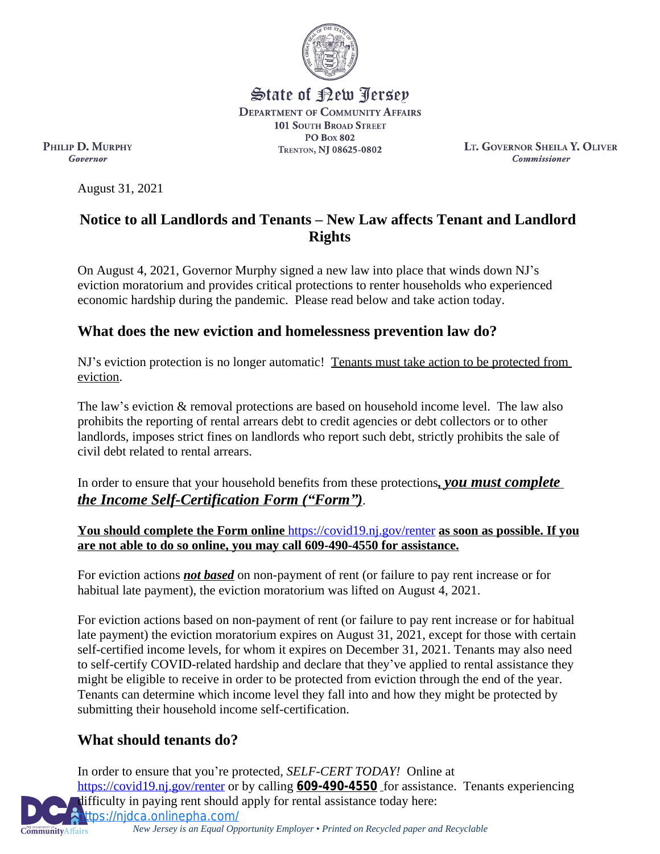

State of Rew <u>Perse</u>p **DEPARTMENT OF COMMUNITY AFFAIRS 101 SOUTH BROAD STREET PO Box 802** TRENTON, NJ 08625-0802

**LT. GOVERNOR SHEILA Y. OLIVER Commissioner** 

PHILIP D. MURPHY Governor

August 31, 2021

### **Notice to all Landlords and Tenants – New Law affects Tenant and Landlord Rights**

On August 4, 2021, Governor Murphy signed a new law into place that winds down NJ's eviction moratorium and provides critical protections to renter households who experienced economic hardship during the pandemic. Please read below and take action today.

## **What does the new eviction and homelessness prevention law do?**

NJ's eviction protection is no longer automatic! Tenants must take action to be protected from eviction.

The law's eviction & removal protections are based on household income level. The law also prohibits the reporting of rental arrears debt to credit agencies or debt collectors or to other landlords, imposes strict fines on landlords who report such debt, strictly prohibits the sale of civil debt related to rental arrears.

In order to ensure that your household benefits from these protections*, you must complete the Income Self-Certification Form ("Form")*.

**You should complete the Form online** <https://covid19.nj.gov/renter> **as soon as possible. If you are not able to do so online, you may call [609-490-4550](tel:609-490-4550) for assistance.**

For eviction actions *not based* on non-payment of rent (or failure to pay rent increase or for habitual late payment), the eviction moratorium was lifted on August 4, 2021.

For eviction actions based on non-payment of rent (or failure to pay rent increase or for habitual late payment) the eviction moratorium expires on August 31, 2021, except for those with certain self-certified income levels, for whom it expires on December 31, 2021. Tenants may also need to self-certify COVID-related hardship and declare that they've applied to rental assistance they might be eligible to receive in order to be protected from eviction through the end of the year. Tenants can determine which income level they fall into and how they might be protected by submitting their household income self-certification.

# **What should tenants do?**

In order to ensure that you're protected*, SELF-CERT TODAY!* Online at <https://covid19.nj.gov/renter>or by calling **[609-490-4550](tel:609-490-4550)** for assistance. Tenants experiencing difficulty in paying rent should apply for rental assistance today here: [https://njdca.onlinepha.com/](https://urldefense.com/v3/__https:/njdca.onlinepha.com/__;!!J30X0ZrnC1oQtbA!fYBtdX7bIyG-jBGZ7wvf6srS2hPGgSgACpVgU3G1NmXvoT1ar8ufii9vsL99Jm1Ee4QZ$)

**CommunityAffairs** 

*New Jersey is an Equal Opportunity Employer* • *Printed on Recycled paper and Recyclable*